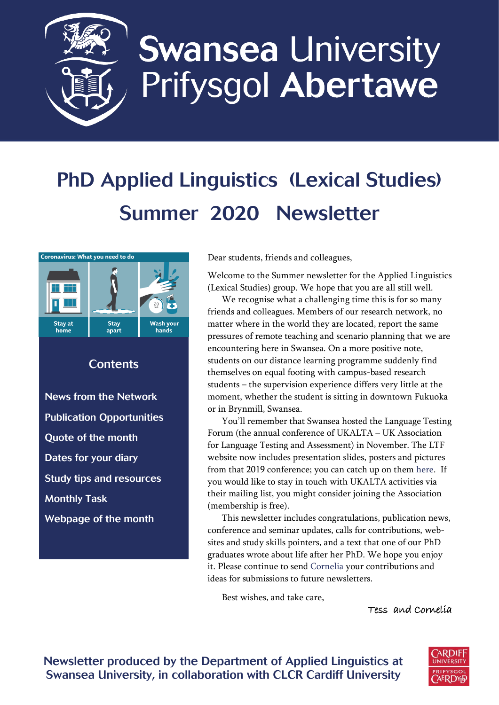

# **Swansea University** Prifysgol Abertawe

# PhD Applied Linguistics (Lexical Studies) Summer 2020 Newsletter



## **Contents**

[News from the Network](#page-1-0) [Publication Opportunities](#page-1-1) [Quote of the month](#page-2-0) [Dates for your diary](#page-2-1) [Study tips and resources](#page-3-0) [Monthly Task](#page-4-0)  [Webpage of the month](#page-4-1)

Dear students, friends and colleagues,

Welcome to the Summer newsletter for the Applied Linguistics (Lexical Studies) group. We hope that you are all still well.

We recognise what a challenging time this is for so many friends and colleagues. Members of our research network, no matter where in the world they are located, report the same pressures of remote teaching and scenario planning that we are encountering here in Swansea. On a more positive note, students on our distance learning programme suddenly find themselves on equal footing with campus-based research students – the supervision experience differs very little at the moment, whether the student is sitting in downtown Fukuoka or in Brynmill, Swansea.

You'll remember that Swansea hosted the Language Testing Forum (the annual conference of UKALTA – UK Association for Language Testing and Assessment) in November. The LTF website now includes presentation slides, posters and pictures from that 2019 conference; you can catch up on the[m here.](https://ukalta.org/ltf-2019/) If you would like to stay in touch with UKALTA activities via their mailing list, you might consider joining the Association (membership is free).

This newsletter includes congratulations, publication news, conference and seminar updates, calls for contributions, websites and study skills pointers, and a text that one of our PhD graduates wrote about life after her PhD. We hope you enjoy it. Please continue to send [Cornelia](mailto:c.tschichold@swansea.ac.uk) your contributions and ideas for submissions to future newsletters.

Best wishes, and take care,

Tess and Cornelia

Newsletter produced by the Department of Applied Linguistics at Swansea University, in collaboration with CLCR Cardiff University

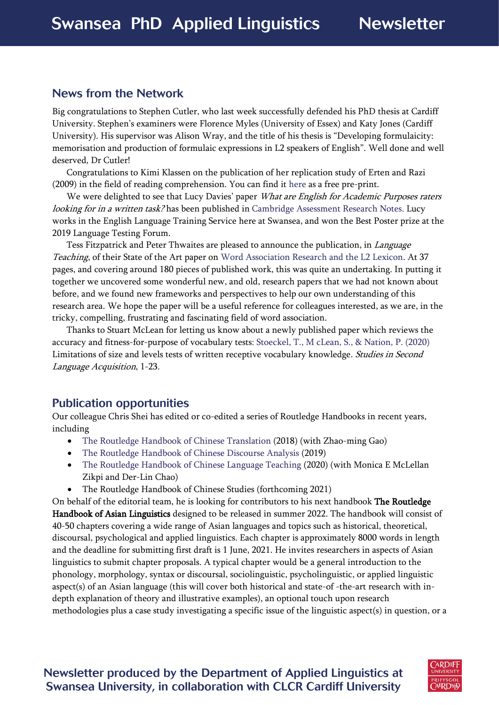#### <span id="page-1-0"></span>News from the Network

Big congratulations to Stephen Cutler, who last week successfully defended his PhD thesis at Cardiff University. Stephen's examiners were Florence Myles (University of Essex) and Katy Jones (Cardiff University). His supervisor was Alison Wray, and the title of his thesis is "Developing formulaicity: memorisation and production of formulaic expressions in L2 speakers of English". Well done and well deserved, Dr Cutler!

Congratulations to Kimi Klassen on the publication of her replication study of Erten and Razi (2009) in the field of reading comprehension. You can find it [here](https://www.tandfonline.com/eprint/66ITJ2TSSRITHYRCT4PQ/full?target=10.1080/02702711.2020.1768976) as a free pre-print.

We were delighted to see that Lucy Davies' paper What are English for Academic Purposes raters looking for in a written task? has been published i[n Cambridge Assessment Research Notes.](http://www.cambridgeenglish.org/researchnotes) Lucy works in the English Language Training Service here at Swansea, and won the Best Poster prize at the 2019 Language Testing Forum.

Tess Fitzpatrick and Peter Thwaites are pleased to announce the publication, in *Language* Teaching, of their State of the Art paper on [Word Association Research and the L2 Lexicon.](https://www.cambridge.org/core/journals/language-teaching/article/word-association-research-and-the-l2-lexicon/D8EF85FD456582DE61FEA17AFDA25E1A) At 37 pages, and covering around 180 pieces of published work, this was quite an undertaking. In putting it together we uncovered some wonderful new, and old, research papers that we had not known about before, and we found new frameworks and perspectives to help our own understanding of this research area. We hope the paper will be a useful reference for colleagues interested, as we are, in the tricky, compelling, frustrating and fascinating field of word association.

Thanks to Stuart McLean for letting us know about a newly published paper which reviews the accuracy and fitness-for-purpose of vocabulary tests: Stoeckel, T., M [cLean, S., & Nation, P. \(2020\)](https://www.cambridge.org/core/journals/studies-in-second-language-acquisition/article/limitations-of-size-and-levels-tests-of-written-receptive-vocabulary-knowledge/00A2861F34D3AE984AB2D61AF50F482F) Limitations of size and levels tests of written receptive vocabulary knowledge. Studies in Second Language Acquisition, 1-23.

## <span id="page-1-1"></span>Publication opportunities

Our colleague Chris Shei has edited or co-edited a series of Routledge Handbooks in recent years, including

- [The Routledge Handbook of Chinese Translation](https://www.routledge.com/The-Routledge-Handbook-of-Chinese-Translation/Shei-Gao/p/book/9781138938267) (2018) (with Zhao-ming Gao)
- [The Routledge Handbook of Chinese Discourse Analysis](https://www.routledge.com/The-Routledge-Handbook-of-Chinese-Discourse-Analysis/Shei/p/book/9780415789790) (2019)
- [The Routledge Handbook of Chinese Language Teaching](https://www.amazon.co.uk/Routledge-Handbook-Chinese-Language-Teaching-ebook/dp/B07RZM9SFQ) (2020) (with Monica E McLellan Zikpi and Der-Lin Chao)
- The Routledge Handbook of Chinese Studies (forthcoming 2021)

On behalf of the editorial team, he is looking for contributors to his next handbook The Routledge Handbook of Asian Linguistics designed to be released in summer 2022. The handbook will consist of 40-50 chapters covering a wide range of Asian languages and topics such as historical, theoretical, discoursal, psychological and applied linguistics. Each chapter is approximately 8000 words in length and the deadline for submitting first draft is 1 June, 2021. He invites researchers in aspects of Asian linguistics to submit chapter proposals. A typical chapter would be a general introduction to the phonology, morphology, syntax or discoursal, sociolinguistic, psycholinguistic, or applied linguistic aspect(s) of an Asian language (this will cover both historical and state-of -the-art research with indepth explanation of theory and illustrative examples), an optional touch upon research methodologies plus a case study investigating a specific issue of the linguistic aspect(s) in question, or a

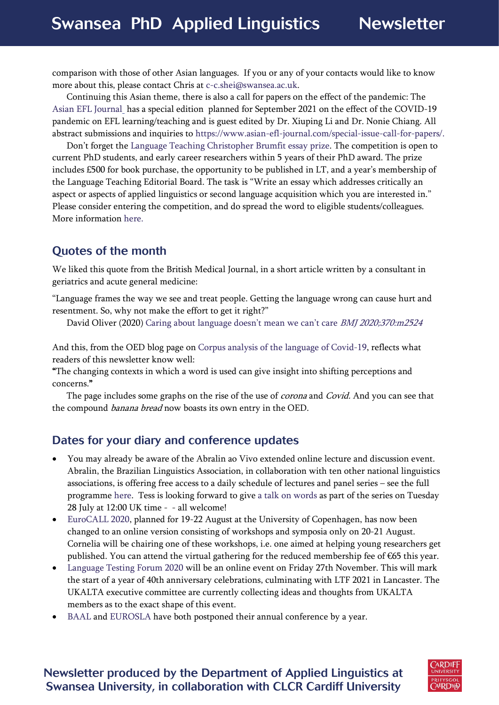comparison with those of other Asian languages. If you or any of your contacts would like to know more about this, please contact Chris at [c-c.shei@swansea.ac.uk.](mailto:c-c.shei@swansea.ac.uk)

Continuing this Asian theme, there is also a call for papers on the effect of the pandemic: The [Asian EFL Journal](https://www.asian-efl-journal.com/) has a special edition planned for September 2021 on the effect of the COVID-19 pandemic on EFL learning/teaching and is guest edited by Dr. Xiuping Li and Dr. Nonie Chiang. All abstract submissions and inquiries to [https://www.asian-efl-journal.com/special-issue-call-for-papers/.](https://eur03.safelinks.protection.outlook.com/?url=https%3A%2F%2Fwww.asian-efl-journal.com%2Fspecial-issue-call-for-papers%2F&data=02%7C01%7CC.Tschichold%40Swansea.ac.uk%7Cba2c90c43a1a4628a05308d7fcb09266%7Cbbcab52e9fbe43d6a2f39f66c43df268%7C0%7C1%7C637255707606370610&sdata=BSYuPp8jcsYxWaFrkgpZp4VMSPQlYV50SQVN80xRXrs%3D&reserved=0)

Don't forget the [Language Teaching Christopher Brumfit essay prize.](https://www.cambridge.org/core/journals/language-teaching/christopher-brumfit-essay-prize) The competition is open to current PhD students, and early career researchers within 5 years of their PhD award. The prize includes £500 for book purchase, the opportunity to be published in LT, and a year's membership of the Language Teaching Editorial Board. The task is "Write an essay which addresses critically an aspect or aspects of applied linguistics or second language acquisition which you are interested in." Please consider entering the competition, and do spread the word to eligible students/colleagues. More information [here.](https://www.cambridge.org/core/journals/language-teaching/christopher-brumfit-essay-prize)

# <span id="page-2-0"></span>Quotes of the month

<span id="page-2-1"></span>We liked this quote from the British Medical Journal, in a short article written by a consultant in geriatrics and acute general medicine:

"Language frames the way we see and treat people. Getting the language wrong can cause hurt and resentment. So, why not make the effort to get it right?"

David Oliver (2020) [Caring about language doesn't mean we can't care](https://www.bmj.com/content/370/bmj.m2524) BMJ 2020;370:m2524

And this, from the OED blog page on [Corpus analysis of the language of Covid-19,](https://public.oed.com/blog/corpus-analysis-of-the-language-of-covid-19/) reflects what readers of this newsletter know well:

"The changing contexts in which a word is used can give insight into shifting perceptions and concerns."

The page includes some graphs on the rise of the use of *corona* and *Covid*. And you can see that the compound *banana bread* now boasts its own entry in the OED.

## Dates for your diary and conference updates

- You may already be aware of the Abralin ao Vivo extended online lecture and discussion event. Abralin, the Brazilian Linguistics Association, in collaboration with ten other national linguistics associations, is offering free access to a daily schedule of lectures and panel series – see the full programme [here.](https://aovivo.abralin.org/en/programme/) Tess is looking forward to giv[e a talk on words](https://aovivo.abralin.org/en/lives/tess-fitzpatrick-2/) as part of the series on Tuesday 28 July at 12:00 UK time - - all welcome!
- [EuroCALL 2020,](https://eurocall2020.ku.dk/) planned for 19-22 August at the University of Copenhagen, has now been changed to an online version consisting of workshops and symposia only on 20-21 August. Cornelia will be chairing one of these workshops, i.e. one aimed at helping young researchers get published. You can attend the virtual gathering for the reduced membership fee of €65 this year.
- [Language Testing Forum 2020](https://ukalta.org/ltf-2020/) will be an online event on Friday 27th November. This will mark the start of a year of 40th anniversary celebrations, culminating with LTF 2021 in Lancaster. The UKALTA executive committee are currently collecting ideas and thoughts from UKALTA members as to the exact shape of this event.
- [BAAL](https://www.baal.org.uk/what-we-do/annual-conference/) and [EUROSLA](https://www.ub.edu/eurosla2020/coronavirus-policy/) have both postponed their annual conference by a year.

## Newsletter produced by the Department of Applied Linguistics at Swansea University, in collaboration with CLCR Cardiff University

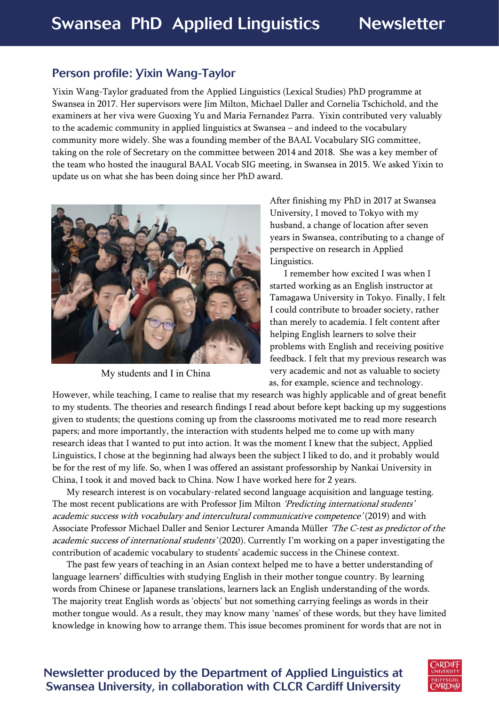## Person profile: Yixin Wang-Taylor

<span id="page-3-0"></span>Yixin Wang-Taylor graduated from the Applied Linguistics (Lexical Studies) PhD programme at Swansea in 2017. Her supervisors were Jim Milton, Michael Daller and Cornelia Tschichold, and the examiners at her viva were Guoxing Yu and Maria Fernandez Parra. Yixin contributed very valuably to the academic community in applied linguistics at Swansea – and indeed to the vocabulary community more widely. She was a founding member of the BAAL Vocabulary SIG committee, taking on the role of Secretary on the committee between 2014 and 2018. She was a key member of the team who hosted the inaugural BAAL Vocab SIG meeting, in Swansea in 2015. We asked Yixin to update us on what she has been doing since her PhD award.



My students and I in China

After finishing my PhD in 2017 at Swansea University, I moved to Tokyo with my husband, a change of location after seven years in Swansea, contributing to a change of perspective on research in Applied Linguistics.

I remember how excited I was when I started working as an English instructor at Tamagawa University in Tokyo. Finally, I felt I could contribute to broader society, rather than merely to academia. I felt content after helping English learners to solve their problems with English and receiving positive feedback. I felt that my previous research was very academic and not as valuable to society as, for example, science and technology.

However, while teaching, I came to realise that my research was highly applicable and of great benefit to my students. The theories and research findings I read about before kept backing up my suggestions given to students; the questions coming up from the classrooms motivated me to read more research papers; and more importantly, the interaction with students helped me to come up with many research ideas that I wanted to put into action. It was the moment I knew that the subject, Applied Linguistics, I chose at the beginning had always been the subject I liked to do, and it probably would be for the rest of my life. So, when I was offered an assistant professorship by Nankai University in China, I took it and moved back to China. Now I have worked here for 2 years.

My research interest is on vocabulary-related second language acquisition and language testing. The most recent publications are with Professor Jim Milton 'Predicting international students' academic success with vocabulary and intercultural communicative competence' (2019) and with Associate Professor Michael Daller and Senior Lecturer Amanda Müller *'The C-test as predictor of the* academic success of international students' (2020). Currently I'm working on a paper investigating the contribution of academic vocabulary to students' academic success in the Chinese context.

The past few years of teaching in an Asian context helped me to have a better understanding of language learners' difficulties with studying English in their mother tongue country. By learning words from Chinese or Japanese translations, learners lack an English understanding of the words. The majority treat English words as 'objects' but not something carrying feelings as words in their mother tongue would. As a result, they may know many 'names' of these words, but they have limited knowledge in knowing how to arrange them. This issue becomes prominent for words that are not in